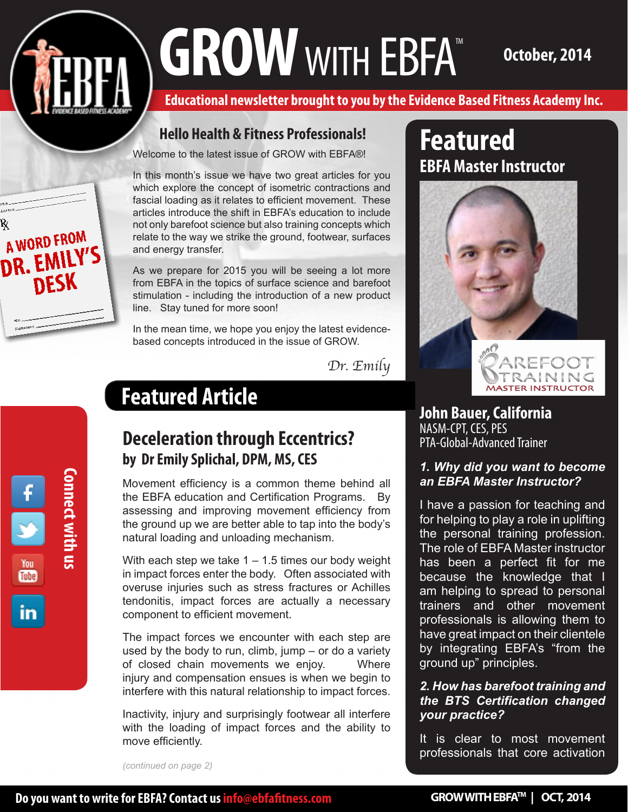# GROW WITH EBFA<sup>TM</sup> October, 2014

**Educational newsletter brought to you by the Evidence Based Fitness Academy Inc.** 

#### **Hello Health & Fitness Professionals!**

Welcome to the latest issue of GROW with EBFA®!

In this month's issue we have two great articles for you which explore the concept of isometric contractions and fascial loading as it relates to efficient movement. These articles introduce the shift in EBFA's education to include not only barefoot science but also training concepts which relate to the way we strike the ground, footwear, surfaces and energy transfer.

As we prepare for 2015 you will be seeing a lot more from EBFA in the topics of surface science and barefoot stimulation - including the introduction of a new product line. Stay tuned for more soon!

In the mean time, we hope you enjoy the latest evidencebased concepts introduced in the issue of GROW.

*Dr. Emily*

## **Featured Article**

## **Deceleration through Eccentrics? by Dr Emily Splichal, DPM, MS, CES**

Movement efficiency is a common theme behind all the EBFA education and Certification Programs. By assessing and improving movement efficiency from the ground up we are better able to tap into the body's natural loading and unloading mechanism.

With each step we take  $1 - 1.5$  times our body weight in impact forces enter the body. Often associated with overuse injuries such as stress fractures or Achilles tendonitis, impact forces are actually a necessary component to efficient movement.

The impact forces we encounter with each step are used by the body to run, climb, jump – or do a variety of closed chain movements we enjoy. Where injury and compensation ensues is when we begin to interfere with this natural relationship to impact forces.

Inactivity, injury and surprisingly footwear all interfere with the loading of impact forces and the ability to move efficiently.

*(continued on page 2)*

## » **EBFA Master InstructorFeatured**



**John Bauer, California** NASM-CPT, CES, PES PTA-Global-Advanced Trainer

#### *1. Why did you want to become an EBFA Master Instructor?*

I have a passion for teaching and for helping to play a role in uplifting the personal training profession. The role of EBFA Master instructor has been a perfect fit for me because the knowledge that I am helping to spread to personal trainers and other movement professionals is allowing them to have great impact on their clientele by integrating EBFA's "from the ground up" principles.

#### *2. How has barefoot training and the BTS Certification changed your practice?*

It is clear to most movement professionals that core activation

A WORD FROM

**DESK** 

DR. EMIL

Signature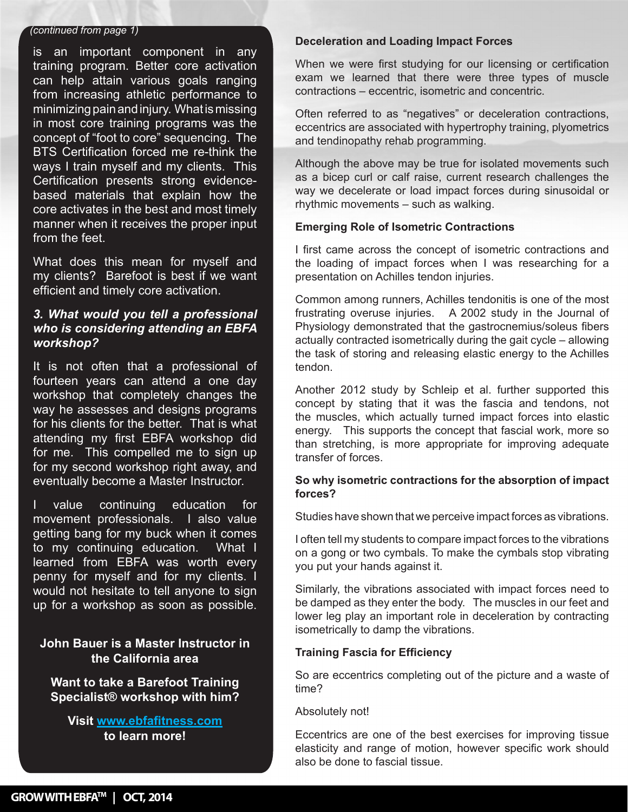#### *(continued from page 1)*

» Certification presents strong evidence-» core activates in the best and most timely from the feet. is an important component in any training program. Better core activation can help attain various goals ranging from increasing athletic performance to minimizing pain and injury. What is missing in most core training programs was the concept of "foot to core" sequencing. The BTS Certification forced me re-think the ways I train myself and my clients. This based materials that explain how the manner when it receives the proper input

» my clients? Barefoot is best if we want What does this mean for myself and efficient and timely core activation.

#### *3. What would you tell a professional who is considering attending an EBFA workshop?*

It is not often that a professional of fourteen years can attend a one day workshop that completely changes the way he assesses and designs programs for his clients for the better. That is what attending my first EBFA workshop did for me. This compelled me to sign up for my second workshop right away, and eventually become a Master Instructor.

value continuing education for movement professionals. I also value getting bang for my buck when it comes to my continuing education. What I learned from EBFA was worth every penny for myself and for my clients. I would not hesitate to tell anyone to sign up for a workshop as soon as possible.

#### **John Bauer is a Master Instructor in the California area**

**Want to take a Barefoot Training Specialist® workshop with him?** 

**Visit www.ebfafitness.com to learn more!** 

#### **Deceleration and Loading Impact Forces**

When we were first studying for our licensing or certification exam we learned that there were three types of muscle contractions – eccentric, isometric and concentric.

Often referred to as "negatives" or deceleration contractions, eccentrics are associated with hypertrophy training, plyometrics and tendinopathy rehab programming.

Although the above may be true for isolated movements such as a bicep curl or calf raise, current research challenges the way we decelerate or load impact forces during sinusoidal or rhythmic movements – such as walking.

#### **Emerging Role of Isometric Contractions**

I first came across the concept of isometric contractions and the loading of impact forces when I was researching for a presentation on Achilles tendon injuries.

Common among runners, Achilles tendonitis is one of the most frustrating overuse injuries. A 2002 study in the Journal of Physiology demonstrated that the gastrocnemius/soleus fibers actually contracted isometrically during the gait cycle – allowing the task of storing and releasing elastic energy to the Achilles tendon.

Another 2012 study by Schleip et al. further supported this concept by stating that it was the fascia and tendons, not the muscles, which actually turned impact forces into elastic energy. This supports the concept that fascial work, more so than stretching, is more appropriate for improving adequate transfer of forces.

#### **So why isometric contractions for the absorption of impact forces?**

Studies have shown that we perceive impact forces as vibrations.

I often tell my students to compare impact forces to the vibrations on a gong or two cymbals. To make the cymbals stop vibrating you put your hands against it.

Similarly, the vibrations associated with impact forces need to be damped as they enter the body. The muscles in our feet and lower leg play an important role in deceleration by contracting isometrically to damp the vibrations.

#### **Training Fascia for Efficiency**

So are eccentrics completing out of the picture and a waste of time?

#### Absolutely not!

Eccentrics are one of the best exercises for improving tissue elasticity and range of motion, however specific work should also be done to fascial tissue.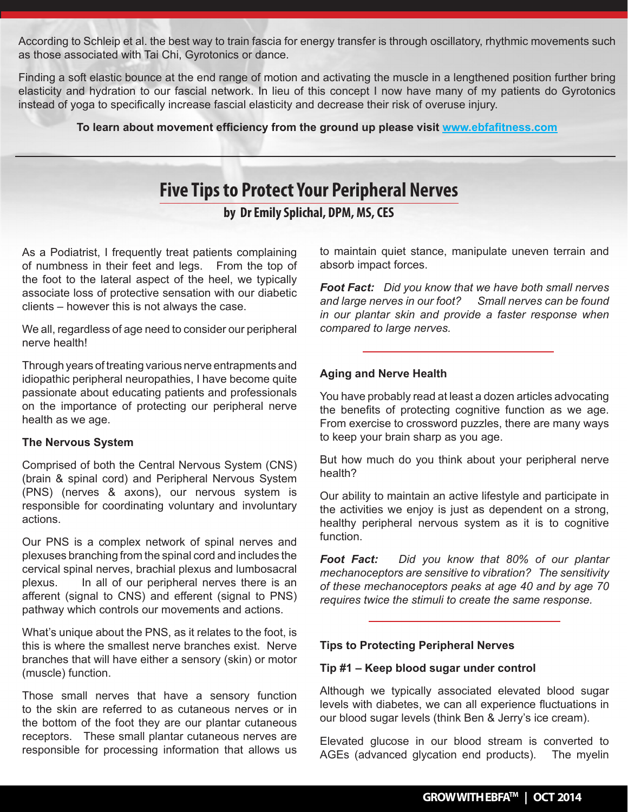According to Schleip et al. the best way to train fascia for energy transfer is through oscillatory, rhythmic movements such as those associated with Tai Chi, Gyrotonics or dance.

Finding a soft elastic bounce at the end range of motion and activating the muscle in a lengthened position further bring elasticity and hydration to our fascial network. In lieu of this concept I now have many of my patients do Gyrotonics instead of yoga to specifically increase fascial elasticity and decrease their risk of overuse injury.

**To learn about movement efficiency from the ground up please visit www.ebfafitness.com**

### **Five Tips to Protect Your Peripheral Nerves**

**by Dr Emily Splichal, DPM, MS, CES**

As a Podiatrist, I frequently treat patients complaining of numbness in their feet and legs. From the top of the foot to the lateral aspect of the heel, we typically associate loss of protective sensation with our diabetic clients – however this is not always the case.

We all, regardless of age need to consider our peripheral nerve health!

Through years of treating various nerve entrapments and idiopathic peripheral neuropathies, I have become quite passionate about educating patients and professionals on the importance of protecting our peripheral nerve health as we age.

#### **The Nervous System**

Comprised of both the Central Nervous System (CNS) (brain & spinal cord) and Peripheral Nervous System (PNS) (nerves & axons), our nervous system is responsible for coordinating voluntary and involuntary actions.

Our PNS is a complex network of spinal nerves and plexuses branching from the spinal cord and includes the cervical spinal nerves, brachial plexus and lumbosacral plexus. In all of our peripheral nerves there is an afferent (signal to CNS) and efferent (signal to PNS) pathway which controls our movements and actions.

What's unique about the PNS, as it relates to the foot, is this is where the smallest nerve branches exist. Nerve branches that will have either a sensory (skin) or motor (muscle) function.

Those small nerves that have a sensory function to the skin are referred to as cutaneous nerves or in the bottom of the foot they are our plantar cutaneous receptors. These small plantar cutaneous nerves are responsible for processing information that allows us

to maintain quiet stance, manipulate uneven terrain and absorb impact forces.

*Foot Fact: Did you know that we have both small nerves and large nerves in our foot? Small nerves can be found in our plantar skin and provide a faster response when compared to large nerves.*

#### **Aging and Nerve Health**

You have probably read at least a dozen articles advocating the benefits of protecting cognitive function as we age. From exercise to crossword puzzles, there are many ways to keep your brain sharp as you age.

But how much do you think about your peripheral nerve health?

Our ability to maintain an active lifestyle and participate in the activities we enjoy is just as dependent on a strong, healthy peripheral nervous system as it is to cognitive function.

*Foot Fact: Did you know that 80% of our plantar mechanoceptors are sensitive to vibration? The sensitivity of these mechanoceptors peaks at age 40 and by age 70 requires twice the stimuli to create the same response.*

#### **Tips to Protecting Peripheral Nerves**

#### **Tip #1 – Keep blood sugar under control**

Although we typically associated elevated blood sugar levels with diabetes, we can all experience fluctuations in our blood sugar levels (think Ben & Jerry's ice cream).

Elevated glucose in our blood stream is converted to AGEs (advanced glycation end products). The myelin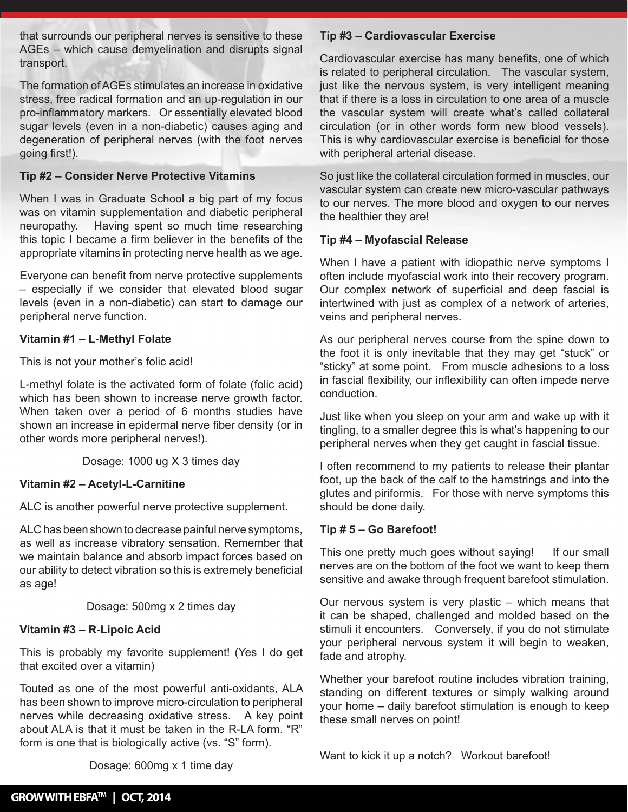that surrounds our peripheral nerves is sensitive to these AGEs – which cause demyelination and disrupts signal transport.

The formation of AGEs stimulates an increase in oxidative stress, free radical formation and an up-regulation in our pro-inflammatory markers. Or essentially elevated blood sugar levels (even in a non-diabetic) causes aging and degeneration of peripheral nerves (with the foot nerves going first!).

#### **Tip #2 – Consider Nerve Protective Vitamins**

When I was in Graduate School a big part of my focus was on vitamin supplementation and diabetic peripheral neuropathy. Having spent so much time researching this topic I became a firm believer in the benefits of the appropriate vitamins in protecting nerve health as we age.

Everyone can benefit from nerve protective supplements – especially if we consider that elevated blood sugar levels (even in a non-diabetic) can start to damage our peripheral nerve function.

#### **Vitamin #1 – L-Methyl Folate**

This is not your mother's folic acid!

L-methyl folate is the activated form of folate (folic acid) which has been shown to increase nerve growth factor. When taken over a period of 6 months studies have shown an increase in epidermal nerve fiber density (or in other words more peripheral nerves!).

Dosage: 1000 ug X 3 times day

#### **Vitamin #2 – Acetyl-L-Carnitine**

ALC is another powerful nerve protective supplement.

ALC has been shown to decrease painful nerve symptoms, as well as increase vibratory sensation. Remember that we maintain balance and absorb impact forces based on our ability to detect vibration so this is extremely beneficial as age!

Dosage: 500mg x 2 times day

#### **Vitamin #3 – R-Lipoic Acid**

This is probably my favorite supplement! (Yes I do get that excited over a vitamin)

Touted as one of the most powerful anti-oxidants, ALA has been shown to improve micro-circulation to peripheral nerves while decreasing oxidative stress. A key point about ALA is that it must be taken in the R-LA form. "R" form is one that is biologically active (vs. "S" form).

#### **Tip #3 – Cardiovascular Exercise**

Cardiovascular exercise has many benefits, one of which is related to peripheral circulation. The vascular system, just like the nervous system, is very intelligent meaning that if there is a loss in circulation to one area of a muscle the vascular system will create what's called collateral circulation (or in other words form new blood vessels). This is why cardiovascular exercise is beneficial for those with peripheral arterial disease.

So just like the collateral circulation formed in muscles, our vascular system can create new micro-vascular pathways to our nerves. The more blood and oxygen to our nerves the healthier they are!

#### **Tip #4 – Myofascial Release**

When I have a patient with idiopathic nerve symptoms I often include myofascial work into their recovery program. Our complex network of superficial and deep fascial is intertwined with just as complex of a network of arteries, veins and peripheral nerves.

As our peripheral nerves course from the spine down to the foot it is only inevitable that they may get "stuck" or "sticky" at some point. From muscle adhesions to a loss in fascial flexibility, our inflexibility can often impede nerve conduction.

Just like when you sleep on your arm and wake up with it tingling, to a smaller degree this is what's happening to our peripheral nerves when they get caught in fascial tissue.

I often recommend to my patients to release their plantar foot, up the back of the calf to the hamstrings and into the glutes and piriformis. For those with nerve symptoms this should be done daily.

#### **Tip # 5 – Go Barefoot!**

This one pretty much goes without saying! If our small nerves are on the bottom of the foot we want to keep them sensitive and awake through frequent barefoot stimulation.

Our nervous system is very plastic – which means that it can be shaped, challenged and molded based on the stimuli it encounters. Conversely, if you do not stimulate your peripheral nervous system it will begin to weaken, fade and atrophy.

Whether your barefoot routine includes vibration training, standing on different textures or simply walking around your home – daily barefoot stimulation is enough to keep these small nerves on point!

Want to kick it up a notch? Workout barefoot!

Dosage: 600mg x 1 time day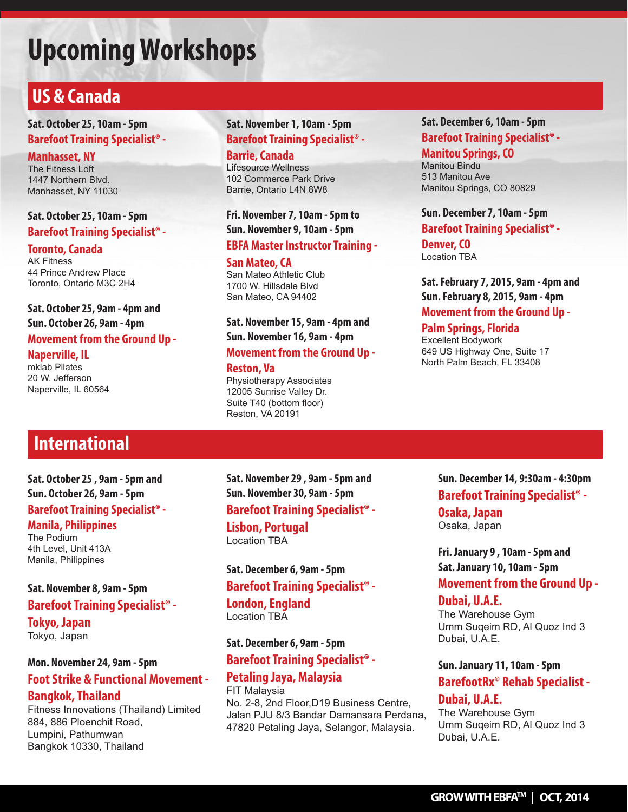## **Upcoming Workshops**

## **US & Canada**

**Sat. October 25, 10am - 5pm Barefoot Training Specialist® -** 

**Manhasset, NY** The Fitness Loft 1447 Northern Blvd. Manhasset, NY 11030

#### **Sat. October 25, 10am - 5pm Barefoot Training Specialist® -**

**Toronto, Canada** AK Fitness 44 Prince Andrew Place Toronto, Ontario M3C 2H4

**Sat. October 25, 9am - 4pm and Sun. October 26, 9am - 4pm Movement from the Ground Up -** 

**Naperville, IL** mklab Pilates 20 W. Jefferson Naperville, IL 60564

#### **Sat. November 1, 10am - 5pm Barefoot Training Specialist® -**

#### **Barrie, Canada**

Lifesource Wellness 102 Commerce Park Drive Barrie, Ontario L4N 8W8

#### **Fri. November 7, 10am - 5pm to Sun. November 9, 10am - 5pm**

#### **EBFA Master Instructor Training -**

#### **San Mateo, CA**

San Mateo Athletic Club 1700 W. Hillsdale Blvd San Mateo, CA 94402

#### **Sat. November 15, 9am - 4pm and Sun. November 16, 9am - 4pm**

#### **Movement from the Ground Up -**

#### **Reston, Va**

Physiotherapy Associates 12005 Sunrise Valley Dr. Suite T40 (bottom floor) Reston, VA 20191

#### **Sat. December 6, 10am - 5pm Barefoot Training Specialist® - Manitou Springs, CO** Manitou Bindu

513 Manitou Ave Manitou Springs, CO 80829

**Sun. December 7, 10am - 5pm Barefoot Training Specialist® -** 

**Denver, CO** Location TBA

**Sat. February 7, 2015, 9am - 4pm and Sun. February 8, 2015, 9am - 4pm Movement from the Ground Up -** 

#### **Palm Springs, Florida**

Excellent Bodywork 649 US Highway One, Suite 17 North Palm Beach, FL 33408

## **International**

**Sat. October 25 , 9am - 5pm and Sun. October 26, 9am - 5pm Barefoot Training Specialist® -** 

#### **Manila, Philippines**

The Podium 4th Level, Unit 413A Manila, Philippines

#### **Sat. November 8, 9am - 5pm Barefoot Training Specialist® -**

**Tokyo, Japan** Tokyo, Japan

#### **Mon. November 24, 9am - 5pm**

#### **Foot Strike & Functional Movement -**

#### **Bangkok, Thailand**

Fitness Innovations (Thailand) Limited 884, 886 Ploenchit Road, Lumpini, Pathumwan Bangkok 10330, Thailand

**Sat. November 29 , 9am - 5pm and Sun. November 30, 9am - 5pm Barefoot Training Specialist® -** 

**Lisbon, Portugal** Location TBA

#### **Sat. December 6, 9am - 5pm Barefoot Training Specialist® - London, England** Location TBA

#### **Sat. December 6, 9am - 5pm Barefoot Training Specialist® -**

#### **Petaling Jaya, Malaysia** FIT Malaysia

No. 2-8, 2nd Floor,D19 Business Centre, Jalan PJU 8/3 Bandar Damansara Perdana, 47820 Petaling Jaya, Selangor, Malaysia.

**Sun. December 14, 9:30am - 4:30pm Barefoot Training Specialist® - Osaka, Japan** Osaka, Japan

**Fri. January 9 , 10am - 5pm and Sat. January 10, 10am - 5pm Movement from the Ground Up -** 

#### **Dubai, U.A.E.**

The Warehouse Gym Umm Suqeim RD, Al Quoz Ind 3 Dubai, U.A.E.

#### **Sun. January 11, 10am - 5pm BarefootRx® Rehab Specialist -**

#### **Dubai, U.A.E.**

The Warehouse Gym Umm Suqeim RD, Al Quoz Ind 3 Dubai, U.A.E.